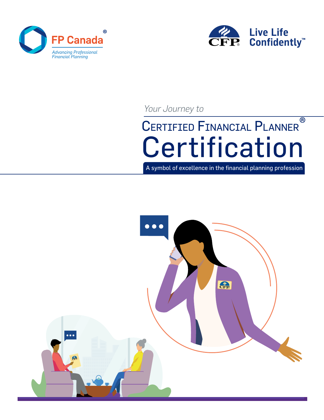



*Your Journey to*

# CERTIFIED FINANCIAL PLANNER **Certification** ®

A symbol of excellence in the financial planning profession

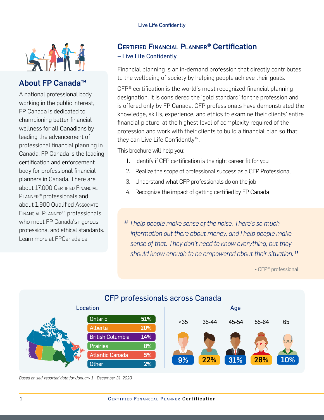

## About FP Canada™

A national professional body working in the public interest, FP Canada is dedicated to championing better financial wellness for all Canadians by leading the advancement of professional financial planning in Canada. FP Canada is the leading certification and enforcement body for professional financial planners in Canada. There are about 17,000 CERTIFIED FINANCIAL Planner® professionals and about 1,900 Qualified Associate Financial Planner™ professionals, who meet FP Canada's rigorous professional and ethical standards. Learn more at FPCanada.ca.

## Certified finanCial Planner® Certification – Live Life Confidently

Financial planning is an in-demand profession that directly contributes to the wellbeing of society by helping people achieve their goals.

CFP® certification is the world's most recognized financial planning designation. It is considered the 'gold standard' for the profession and is offered only by FP Canada. CFP professionals have demonstrated the knowledge, skills, experience, and ethics to examine their clients' entire financial picture, at the highest level of complexity required of the profession and work with their clients to build a financial plan so that they can Live Life Confidently™.

This brochure will help you:

- 1. Identify if CFP certification is the right career fit for you
- 2. Realize the scope of professional success as a CFP Professional
- 3. Understand what CFP professionals do on the job
- 4. Recognize the impact of getting certified by FP Canada

*" I help people make sense of the noise. There's so much information out there about money, and I help people make sense of that. They don't need to know everything, but they should know enough to be empowered about their situation. "*

- CFP® professional



*Based on self-reported data for January 1 - December 31, 2020.*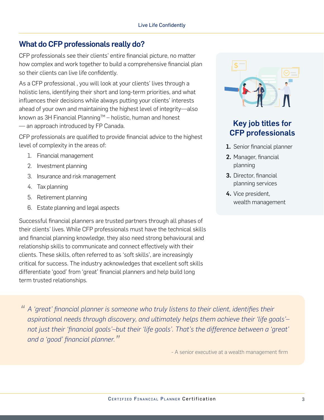## What do CFP professionals really do?

CFP professionals see their clients' entire financial picture, no matter how complex and work together to build a comprehensive financial plan so their clients can live life confidently.

As a CFP professional , you will look at your clients' lives through a holistic lens, identifying their short and long-term priorities, and what influences their decisions while always putting your clients' interests ahead of your own and maintaining the highest level of integrity—also known as 3H Financial Planning™ – holistic, human and honest — an approach introduced by FP Canada.

CFP professionals are qualified to provide financial advice to the highest level of complexity in the areas of:

- 1. Financial management
- 2. Investment planning
- 3. Insurance and risk management
- 4. Tax planning
- 5. Retirement planning
- 6. Estate planning and legal aspects

Successful financial planners are trusted partners through all phases of their clients' lives. While CFP professionals must have the technical skills and financial planning knowledge, they also need strong behavioural and relationship skills to communicate and connect effectively with their clients. These skills, often referred to as 'soft skills', are increasingly critical for success. The industry acknowledges that excellent soft skills differentiate 'good' from 'great' financial planners and help build long term trusted relationships.



# Key job titles for CFP professionals

- 1. Senior financial planner
- 2. Manager, financial planning
- 3. Director, financial planning services
- 4. Vice president, wealth management

*" A 'great' financial planner is someone who truly listens to their client, identifies their aspirational needs through discovery, and ultimately helps them achieve their 'life goals'– not just their 'financial goals'–but their 'life goals'. That's the difference between a 'great' and a 'good' financial planner."*

- A senior executive at a wealth management firm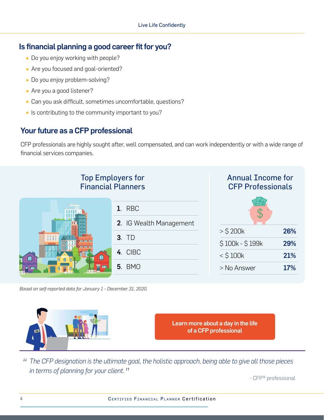## Is financial planning a good career fit for you?

- Do you enjoy working with people?
- Are you focused and goal-oriented?
- Do you enjoy problem-solving?
- Are you a good listener?
- Can you ask difficult, sometimes uncomfortable, questions?
- Is contributing to the community important to you?

# Your future as a CFP professional

CFP professionals are highly sought after, well compensated, and can work independently or with a wide range of financial services companies.

#### Top Employers for Annual Income for Financial Planners CFP Professionals 1. RBC 2. IG Wealth Management  $>$  \$ 200 $k$  26% 3. TD \$100k - \$199k 29% 4. CIBC  $<$  \$100k 21% m  $\sqrt{2}$ 5. BMO er und  $>$  No Answer  $17%$

*Based on self-reported data for January 1 - December 31, 2020.*



*" The CFP designation is the ultimate goal, the holistic approach, being able to give all those pieces in terms of planning for your client."*

- CFP® professional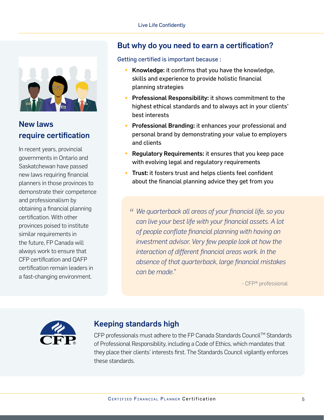

# New laws require certification

In recent years, provincial governments in Ontario and Saskatchewan have passed new laws requiring financial planners in those provinces to demonstrate their competence and professionalism by obtaining a financial planning certification. With other provinces poised to institute similar requirements in the future, FP Canada will always work to ensure that CFP certification and QAFP certification remain leaders in a fast-changing environment.

## But why do you need to earn a certification?

#### Getting certified is important because :

- Knowledge: it confirms that you have the knowledge, skills and experience to provide holistic financial planning strategies
- Professional Responsibility: it shows commitment to the highest ethical standards and to always act in your clients' best interests
- Professional Branding: it enhances your professional and personal brand by demonstrating your value to employers and clients
- Regulatory Requirements: it ensures that you keep pace with evolving legal and regulatory requirements
- Trust: it fosters trust and helps clients feel confident about the financial planning advice they get from you
	- *" We quarterback all areas of your financial life, so you can live your best life with your financial assets. A lot of people conflate financial planning with having an investment advisor. Very few people look at how the interaction of different financial areas work. In the absence of that quarterback, large financial mistakes can be made."*

- CFP® professional



## Keeping standards high

CFP professionals must adhere to the FP Canada Standards Council™ Standards of Professional Responsibility, including a Code of Ethics, which mandates that they place their clients' interests first. The Standards Council vigilantly enforces these standards.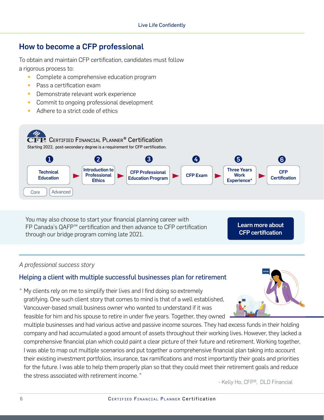# How to become a CFP professional

To obtain and maintain CFP certification, candidates must follow a rigorous process to:

- Complete a comprehensive education program<br>• Pass a certification exam
- Pass a certification exam
- Demonstrate relevant work experience<br>• Commit to ongoing professional develop
- Commit to ongoing professional development
- Adhere to a strict code of ethics



You may also choose to start your financial planning career with FP Canada's QAFP™ certification and then advance to CFP certification through our bridge program coming late 2021.

[Learn more about](https://www.fpcanada.ca/certifications/cfp-certification)  CFP certification

#### *A professional success story*

#### Helping a client with multiple successful businesses plan for retirement

" My clients rely on me to simplify their lives and I find doing so extremely gratifying. One such client story that comes to mind is that of a well established, Vancouver-based small business owner who wanted to understand if it was feasible for him and his spouse to retire in under five years. Together, they owned

multiple businesses and had various active and passive income sources. They had excess funds in their holding company and had accumulated a good amount of assets throughout their working lives. However, they lacked a comprehensive financial plan which could paint a clear picture of their future and retirement. Working together, I was able to map out multiple scenarios and put together a comprehensive financial plan taking into account their existing investment portfolios, insurance, tax ramifications and most importantly their goals and priorities for the future. I was able to help them properly plan so that they could meet their retirement goals and reduce the stress associated with retirement income. "

- Kelly Ho, CFP®, DLD Financial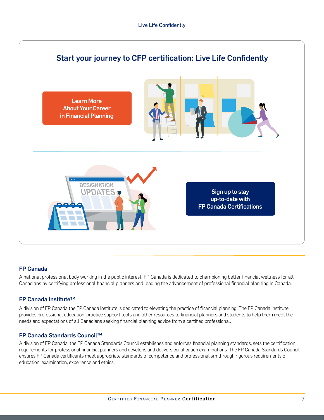

#### FP Canada

A national professional body working in the public interest, FP Canada is dedicated to championing better financial wellness for all Canadians by certifying professional financial planners and leading the advancement of professional financial planning in Canada.

#### **FP Canada Institute™**

A division of FP Canada the FP Canada Institute is dedicated to elevating the practice of financial planning. The FP Canada Institute provides professional education, practice support tools and other resources to financial planners and students to help them meet the needs and expectations of all Canadians seeking financial planning advice from a certified professional.

#### FP Canada Standards CouncilTM

A division of FP Canada, the FP Canada Standards Council establishes and enforces financial planning standards, sets the certification requirements for professional financial planners and develops and delivers certification examinations. The FP Canada Standards Council ensures FP Canada certificants meet appropriate standards of competence and professionalism through rigorous requirements of education, examination, experience and ethics.